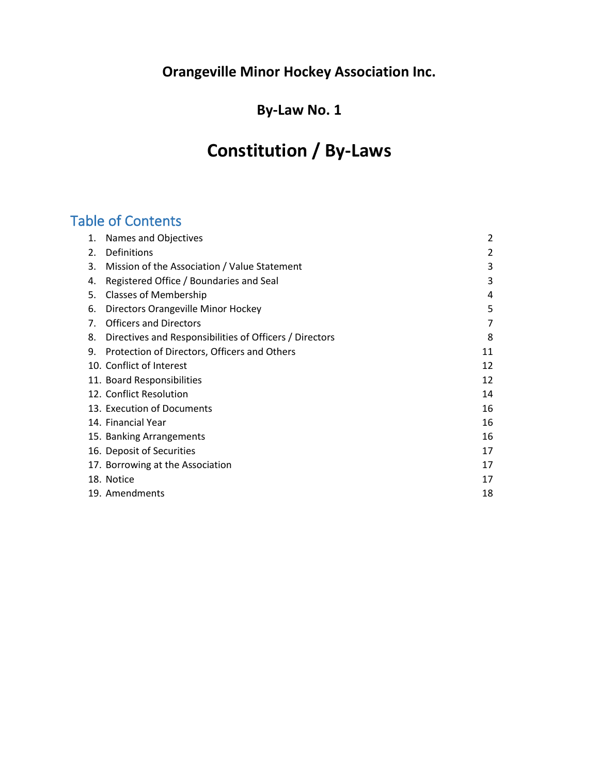# **By-Law No. 1**

# **Constitution / By-Laws**

# Table of Contents

| 1. | Names and Objectives                                    | 2  |
|----|---------------------------------------------------------|----|
| 2. | Definitions                                             | 2  |
| 3. | Mission of the Association / Value Statement            | 3  |
| 4. | Registered Office / Boundaries and Seal                 | 3  |
| 5. | <b>Classes of Membership</b>                            | 4  |
| 6. | Directors Orangeville Minor Hockey                      | 5  |
| 7. | <b>Officers and Directors</b>                           | 7  |
| 8. | Directives and Responsibilities of Officers / Directors | 8  |
| 9. | Protection of Directors, Officers and Others            | 11 |
|    | 10. Conflict of Interest                                | 12 |
|    | 11. Board Responsibilities                              | 12 |
|    | 12. Conflict Resolution                                 | 14 |
|    | 13. Execution of Documents                              | 16 |
|    | 14. Financial Year                                      | 16 |
|    | 15. Banking Arrangements                                | 16 |
|    | 16. Deposit of Securities                               | 17 |
|    | 17. Borrowing at the Association                        | 17 |
|    | 18. Notice                                              | 17 |
|    | 19. Amendments                                          | 18 |
|    |                                                         |    |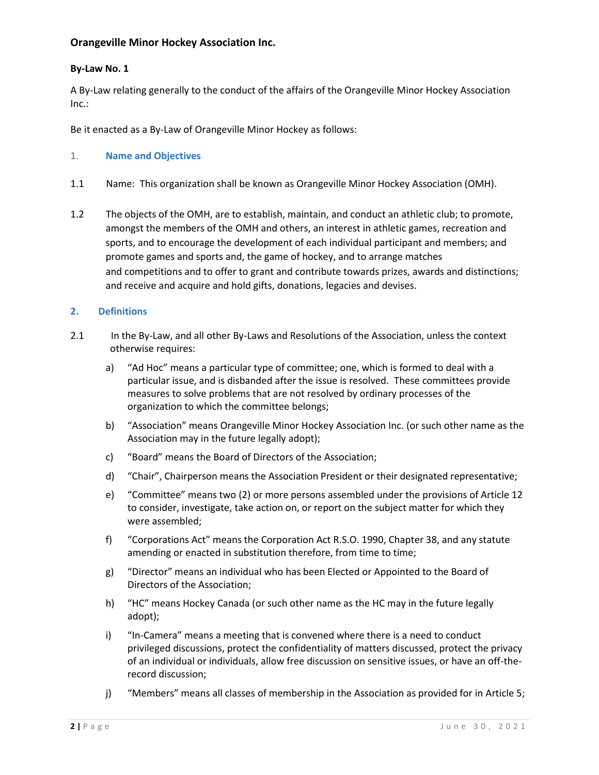# **By-Law No. 1**

A By-Law relating generally to the conduct of the affairs of the Orangeville Minor Hockey Association Inc.:

Be it enacted as a By-Law of Orangeville Minor Hockey as follows:

# 1. **Name and Objectives**

- 1.1 Name: This organization shall be known as Orangeville Minor Hockey Association (OMH).
- 1.2 The objects of the OMH, are to establish, maintain, and conduct an athletic club; to promote, amongst the members of the OMH and others, an interest in athletic games, recreation and sports, and to encourage the development of each individual participant and members; and promote games and sports and, the game of hockey, and to arrange matches and competitions and to offer to grant and contribute towards prizes, awards and distinctions; and receive and acquire and hold gifts, donations, legacies and devises.

# **2. Definitions**

- 2.1 In the By-Law, and all other By-Laws and Resolutions of the Association, unless the context otherwise requires:
	- a) "Ad Hoc" means a particular type of committee; one, which is formed to deal with a particular issue, and is disbanded after the issue is resolved. These committees provide measures to solve problems that are not resolved by ordinary processes of the organization to which the committee belongs;
	- b) "Association" means Orangeville Minor Hockey Association Inc. (or such other name as the Association may in the future legally adopt);
	- c) "Board" means the Board of Directors of the Association;
	- d) "Chair", Chairperson means the Association President or their designated representative;
	- e) "Committee" means two (2) or more persons assembled under the provisions of Article 12 to consider, investigate, take action on, or report on the subject matter for which they were assembled;
	- f) "Corporations Act" means the Corporation Act R.S.O. 1990, Chapter 38, and any statute amending or enacted in substitution therefore, from time to time;
	- g) "Director" means an individual who has been Elected or Appointed to the Board of Directors of the Association;
	- h) "HC" means Hockey Canada (or such other name as the HC may in the future legally adopt);
	- i) "In-Camera" means a meeting that is convened where there is a need to conduct privileged discussions, protect the confidentiality of matters discussed, protect the privacy of an individual or individuals, allow free discussion on sensitive issues, or have an off-therecord discussion;
	- j) "Members" means all classes of membership in the Association as provided for in Article 5;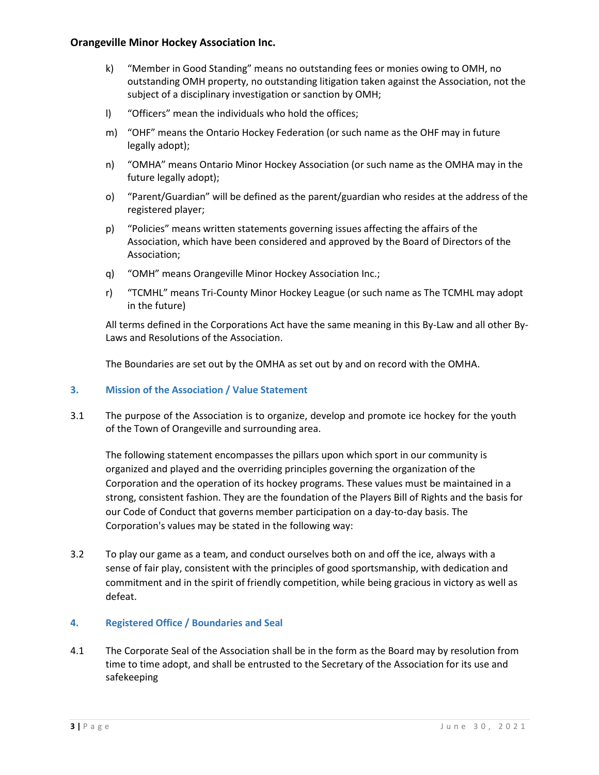- k) "Member in Good Standing" means no outstanding fees or monies owing to OMH, no outstanding OMH property, no outstanding litigation taken against the Association, not the subject of a disciplinary investigation or sanction by OMH;
- l) "Officers" mean the individuals who hold the offices;
- m) "OHF" means the Ontario Hockey Federation (or such name as the OHF may in future legally adopt);
- n) "OMHA" means Ontario Minor Hockey Association (or such name as the OMHA may in the future legally adopt);
- o) "Parent/Guardian" will be defined as the parent/guardian who resides at the address of the registered player;
- p) "Policies" means written statements governing issues affecting the affairs of the Association, which have been considered and approved by the Board of Directors of the Association;
- q) "OMH" means Orangeville Minor Hockey Association Inc.;
- r) "TCMHL" means Tri-County Minor Hockey League (or such name as The TCMHL may adopt in the future)

All terms defined in the Corporations Act have the same meaning in this By-Law and all other By-Laws and Resolutions of the Association.

The Boundaries are set out by the OMHA as set out by and on record with the OMHA.

# **3. Mission of the Association / Value Statement**

3.1 The purpose of the Association is to organize, develop and promote ice hockey for the youth of the Town of Orangeville and surrounding area.

The following statement encompasses the pillars upon which sport in our community is organized and played and the overriding principles governing the organization of the Corporation and the operation of its hockey programs. These values must be maintained in a strong, consistent fashion. They are the foundation of the Players Bill of Rights and the basis for our Code of Conduct that governs member participation on a day-to-day basis. The Corporation's values may be stated in the following way:

3.2 To play our game as a team, and conduct ourselves both on and off the ice, always with a sense of fair play, consistent with the principles of good sportsmanship, with dedication and commitment and in the spirit of friendly competition, while being gracious in victory as well as defeat.

# **4. Registered Office / Boundaries and Seal**

4.1 The Corporate Seal of the Association shall be in the form as the Board may by resolution from time to time adopt, and shall be entrusted to the Secretary of the Association for its use and safekeeping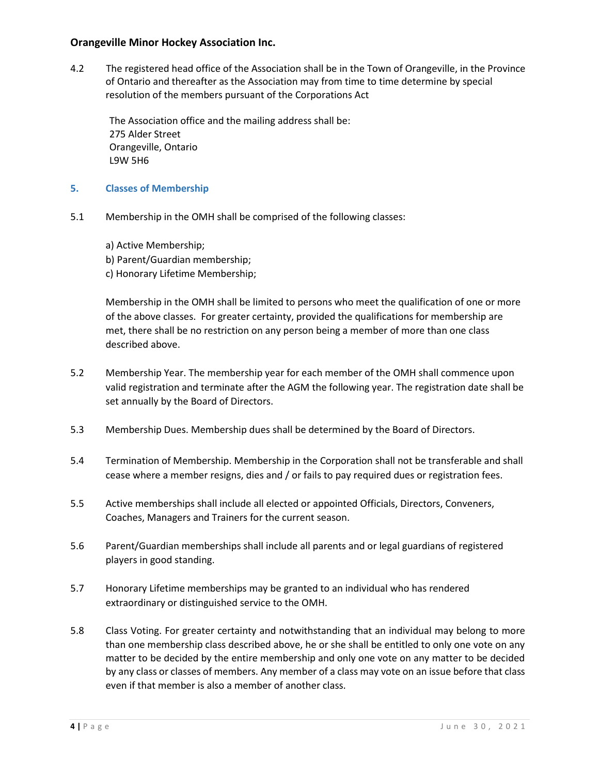4.2 The registered head office of the Association shall be in the Town of Orangeville, in the Province of Ontario and thereafter as the Association may from time to time determine by special resolution of the members pursuant of the Corporations Act

 The Association office and the mailing address shall be: 275 Alder Street Orangeville, Ontario L9W 5H6

- **5. Classes of Membership**
- 5.1 Membership in the OMH shall be comprised of the following classes:
	- a) Active Membership; b) Parent/Guardian membership; c) Honorary Lifetime Membership;

Membership in the OMH shall be limited to persons who meet the qualification of one or more of the above classes. For greater certainty, provided the qualifications for membership are met, there shall be no restriction on any person being a member of more than one class described above.

- 5.2 Membership Year. The membership year for each member of the OMH shall commence upon valid registration and terminate after the AGM the following year. The registration date shall be set annually by the Board of Directors.
- 5.3 Membership Dues. Membership dues shall be determined by the Board of Directors.
- 5.4 Termination of Membership. Membership in the Corporation shall not be transferable and shall cease where a member resigns, dies and / or fails to pay required dues or registration fees.
- 5.5 Active memberships shall include all elected or appointed Officials, Directors, Conveners, Coaches, Managers and Trainers for the current season.
- 5.6 Parent/Guardian memberships shall include all parents and or legal guardians of registered players in good standing.
- 5.7 Honorary Lifetime memberships may be granted to an individual who has rendered extraordinary or distinguished service to the OMH.
- 5.8 Class Voting. For greater certainty and notwithstanding that an individual may belong to more than one membership class described above, he or she shall be entitled to only one vote on any matter to be decided by the entire membership and only one vote on any matter to be decided by any class or classes of members. Any member of a class may vote on an issue before that class even if that member is also a member of another class.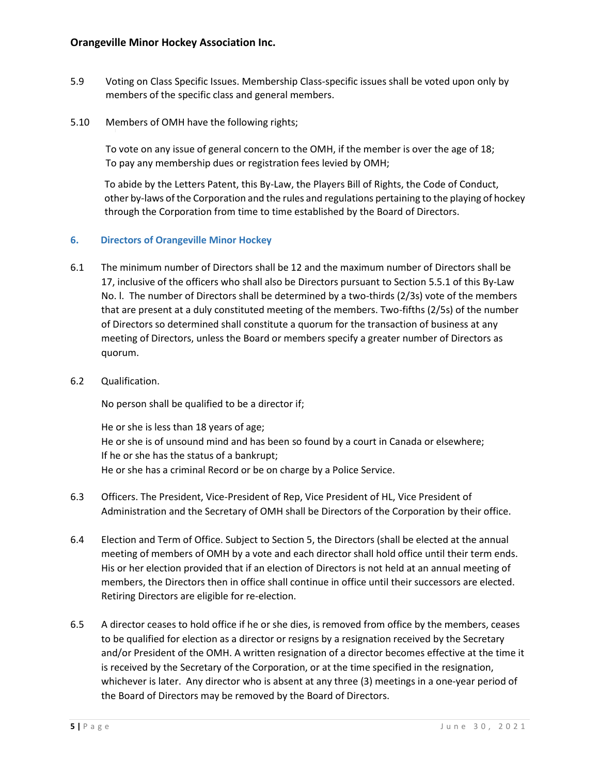- 5.9 Voting on Class Specific Issues. Membership Class-specific issues shall be voted upon only by members of the specific class and general members.
- 5.10 Members of OMH have the following rights;

 To vote on any issue of general concern to the OMH, if the member is over the age of 18; To pay any membership dues or registration fees levied by OMH;

 To abide by the Letters Patent, this By-Law, the Players Bill of Rights, the Code of Conduct, other by-laws of the Corporation and the rules and regulations pertaining to the playing of hockey through the Corporation from time to time established by the Board of Directors.

# **6. Directors of Orangeville Minor Hockey**

- 6.1 The minimum number of Directors shall be 12 and the maximum number of Directors shall be 17, inclusive of the officers who shall also be Directors pursuant to Section 5.5.1 of this By-Law No. l. The number of Directors shall be determined by a two-thirds (2/3s) vote of the members that are present at a duly constituted meeting of the members. Two-fifths (2/5s) of the number of Directors so determined shall constitute a quorum for the transaction of business at any meeting of Directors, unless the Board or members specify a greater number of Directors as quorum.
- 6.2 Qualification.

No person shall be qualified to be a director if;

He or she is less than 18 years of age; He or she is of unsound mind and has been so found by a court in Canada or elsewhere; If he or she has the status of a bankrupt; He or she has a criminal Record or be on charge by a Police Service.

- 6.3 Officers. The President, Vice-President of Rep, Vice President of HL, Vice President of Administration and the Secretary of OMH shall be Directors of the Corporation by their office.
- 6.4 Election and Term of Office. Subject to Section 5, the Directors (shall be elected at the annual meeting of members of OMH by a vote and each director shall hold office until their term ends. His or her election provided that if an election of Directors is not held at an annual meeting of members, the Directors then in office shall continue in office until their successors are elected. Retiring Directors are eligible for re-election.
- 6.5 A director ceases to hold office if he or she dies, is removed from office by the members, ceases to be qualified for election as a director or resigns by a resignation received by the Secretary and/or President of the OMH. A written resignation of a director becomes effective at the time it is received by the Secretary of the Corporation, or at the time specified in the resignation, whichever is later. Any director who is absent at any three (3) meetings in a one-year period of the Board of Directors may be removed by the Board of Directors.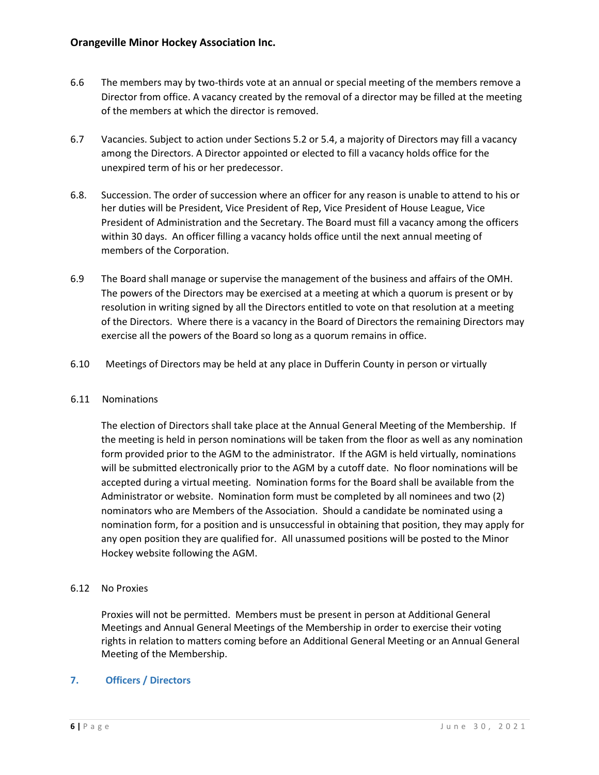- 6.6 The members may by two-thirds vote at an annual or special meeting of the members remove a Director from office. A vacancy created by the removal of a director may be filled at the meeting of the members at which the director is removed.
- 6.7 Vacancies. Subject to action under Sections 5.2 or 5.4, a majority of Directors may fill a vacancy among the Directors. A Director appointed or elected to fill a vacancy holds office for the unexpired term of his or her predecessor.
- 6.8. Succession. The order of succession where an officer for any reason is unable to attend to his or her duties will be President, Vice President of Rep, Vice President of House League, Vice President of Administration and the Secretary. The Board must fill a vacancy among the officers within 30 days. An officer filling a vacancy holds office until the next annual meeting of members of the Corporation.
- 6.9 The Board shall manage or supervise the management of the business and affairs of the OMH. The powers of the Directors may be exercised at a meeting at which a quorum is present or by resolution in writing signed by all the Directors entitled to vote on that resolution at a meeting of the Directors. Where there is a vacancy in the Board of Directors the remaining Directors may exercise all the powers of the Board so long as a quorum remains in office.
- 6.10 Meetings of Directors may be held at any place in Dufferin County in person or virtually

# 6.11 Nominations

The election of Directors shall take place at the Annual General Meeting of the Membership. If the meeting is held in person nominations will be taken from the floor as well as any nomination form provided prior to the AGM to the administrator. If the AGM is held virtually, nominations will be submitted electronically prior to the AGM by a cutoff date. No floor nominations will be accepted during a virtual meeting. Nomination forms for the Board shall be available from the Administrator or website. Nomination form must be completed by all nominees and two (2) nominators who are Members of the Association. Should a candidate be nominated using a nomination form, for a position and is unsuccessful in obtaining that position, they may apply for any open position they are qualified for. All unassumed positions will be posted to the Minor Hockey website following the AGM.

# 6.12 No Proxies

Proxies will not be permitted. Members must be present in person at Additional General Meetings and Annual General Meetings of the Membership in order to exercise their voting rights in relation to matters coming before an Additional General Meeting or an Annual General Meeting of the Membership.

# **7. Officers / Directors**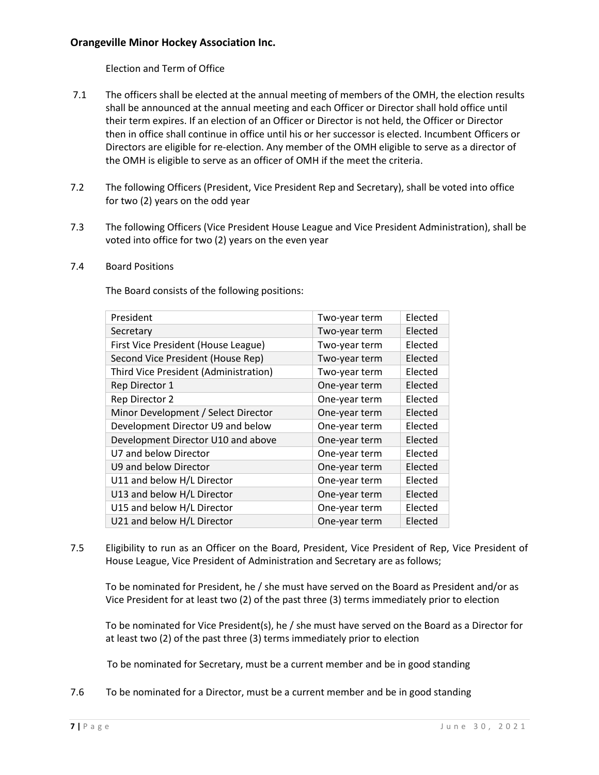Election and Term of Office

- 7.1 The officers shall be elected at the annual meeting of members of the OMH, the election results shall be announced at the annual meeting and each Officer or Director shall hold office until their term expires. If an election of an Officer or Director is not held, the Officer or Director then in office shall continue in office until his or her successor is elected. Incumbent Officers or Directors are eligible for re-election. Any member of the OMH eligible to serve as a director of the OMH is eligible to serve as an officer of OMH if the meet the criteria.
- 7.2 The following Officers (President, Vice President Rep and Secretary), shall be voted into office for two (2) years on the odd year
- 7.3 The following Officers (Vice President House League and Vice President Administration), shall be voted into office for two (2) years on the even year

#### 7.4 Board Positions

The Board consists of the following positions:

| President                             | Two-year term | Elected |
|---------------------------------------|---------------|---------|
| Secretary                             | Two-year term | Elected |
| First Vice President (House League)   | Two-year term | Elected |
| Second Vice President (House Rep)     | Two-year term | Elected |
| Third Vice President (Administration) | Two-year term | Elected |
| Rep Director 1                        | One-year term | Elected |
| Rep Director 2                        | One-year term | Elected |
| Minor Development / Select Director   | One-year term | Elected |
| Development Director U9 and below     | One-year term | Elected |
| Development Director U10 and above    | One-year term | Elected |
| U7 and below Director                 | One-year term | Elected |
| U9 and below Director                 | One-year term | Elected |
| U11 and below H/L Director            | One-year term | Elected |
| U13 and below H/L Director            | One-year term | Elected |
| U15 and below H/L Director            | One-year term | Elected |
| U21 and below H/L Director            | One-year term | Elected |
|                                       |               |         |

7.5 Eligibility to run as an Officer on the Board, President, Vice President of Rep, Vice President of House League, Vice President of Administration and Secretary are as follows;

To be nominated for President, he / she must have served on the Board as President and/or as Vice President for at least two (2) of the past three (3) terms immediately prior to election

To be nominated for Vice President(s), he / she must have served on the Board as a Director for at least two (2) of the past three (3) terms immediately prior to election

To be nominated for Secretary, must be a current member and be in good standing

7.6 To be nominated for a Director, must be a current member and be in good standing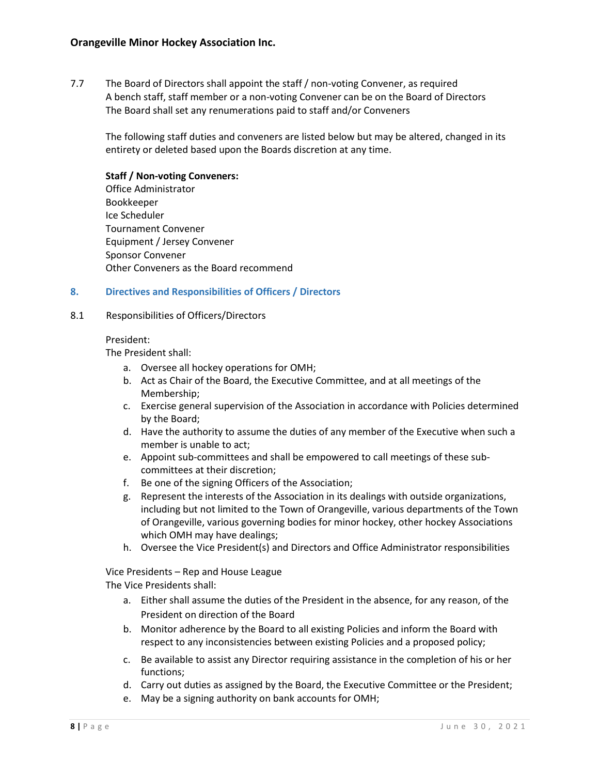7.7 The Board of Directors shall appoint the staff / non-voting Convener, as required A bench staff, staff member or a non-voting Convener can be on the Board of Directors The Board shall set any renumerations paid to staff and/or Conveners

The following staff duties and conveners are listed below but may be altered, changed in its entirety or deleted based upon the Boards discretion at any time.

# **Staff / Non-voting Conveners:**

Office Administrator Bookkeeper Ice Scheduler Tournament Convener Equipment / Jersey Convener Sponsor Convener Other Conveners as the Board recommend

#### **8. Directives and Responsibilities of Officers / Directors**

#### 8.1 Responsibilities of Officers/Directors

#### President:

The President shall:

- a. Oversee all hockey operations for OMH;
- b. Act as Chair of the Board, the Executive Committee, and at all meetings of the Membership;
- c. Exercise general supervision of the Association in accordance with Policies determined by the Board;
- d. Have the authority to assume the duties of any member of the Executive when such a member is unable to act;
- e. Appoint sub-committees and shall be empowered to call meetings of these subcommittees at their discretion;
- f. Be one of the signing Officers of the Association;
- g. Represent the interests of the Association in its dealings with outside organizations, including but not limited to the Town of Orangeville, various departments of the Town of Orangeville, various governing bodies for minor hockey, other hockey Associations which OMH may have dealings;
- h. Oversee the Vice President(s) and Directors and Office Administrator responsibilities

Vice Presidents – Rep and House League

The Vice Presidents shall:

- a. Either shall assume the duties of the President in the absence, for any reason, of the President on direction of the Board
- b. Monitor adherence by the Board to all existing Policies and inform the Board with respect to any inconsistencies between existing Policies and a proposed policy;
- c. Be available to assist any Director requiring assistance in the completion of his or her functions;
- d. Carry out duties as assigned by the Board, the Executive Committee or the President;
- e. May be a signing authority on bank accounts for OMH;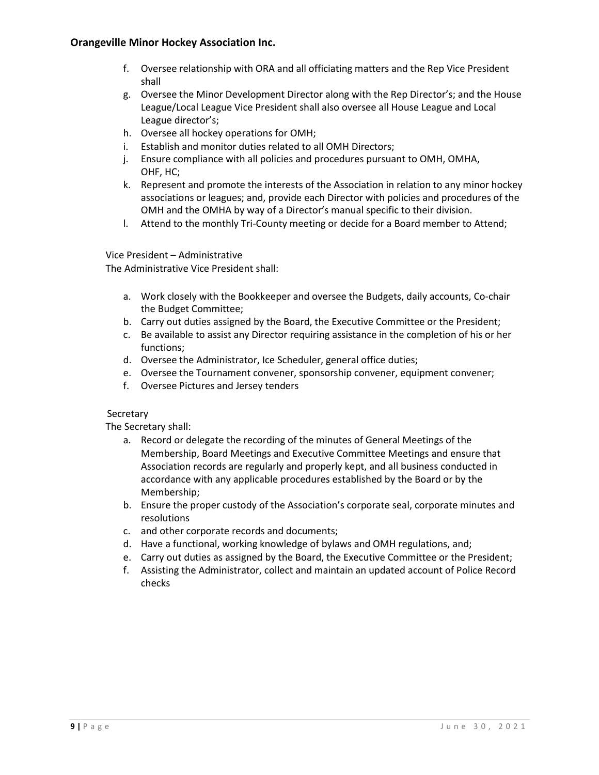- f. Oversee relationship with ORA and all officiating matters and the Rep Vice President shall
- g. Oversee the Minor Development Director along with the Rep Director's; and the House League/Local League Vice President shall also oversee all House League and Local League director's;
- h. Oversee all hockey operations for OMH;
- i. Establish and monitor duties related to all OMH Directors;
- j. Ensure compliance with all policies and procedures pursuant to OMH, OMHA, OHF, HC;
- k. Represent and promote the interests of the Association in relation to any minor hockey associations or leagues; and, provide each Director with policies and procedures of the OMH and the OMHA by way of a Director's manual specific to their division.
- l. Attend to the monthly Tri-County meeting or decide for a Board member to Attend;

Vice President – Administrative

The Administrative Vice President shall:

- a. Work closely with the Bookkeeper and oversee the Budgets, daily accounts, Co-chair the Budget Committee;
- b. Carry out duties assigned by the Board, the Executive Committee or the President;
- c. Be available to assist any Director requiring assistance in the completion of his or her functions;
- d. Oversee the Administrator, Ice Scheduler, general office duties;
- e. Oversee the Tournament convener, sponsorship convener, equipment convener;
- f. Oversee Pictures and Jersey tenders

# Secretary

The Secretary shall:

- a. Record or delegate the recording of the minutes of General Meetings of the Membership, Board Meetings and Executive Committee Meetings and ensure that Association records are regularly and properly kept, and all business conducted in accordance with any applicable procedures established by the Board or by the Membership;
- b. Ensure the proper custody of the Association's corporate seal, corporate minutes and resolutions
- c. and other corporate records and documents;
- d. Have a functional, working knowledge of bylaws and OMH regulations, and;
- e. Carry out duties as assigned by the Board, the Executive Committee or the President;
- f. Assisting the Administrator, collect and maintain an updated account of Police Record checks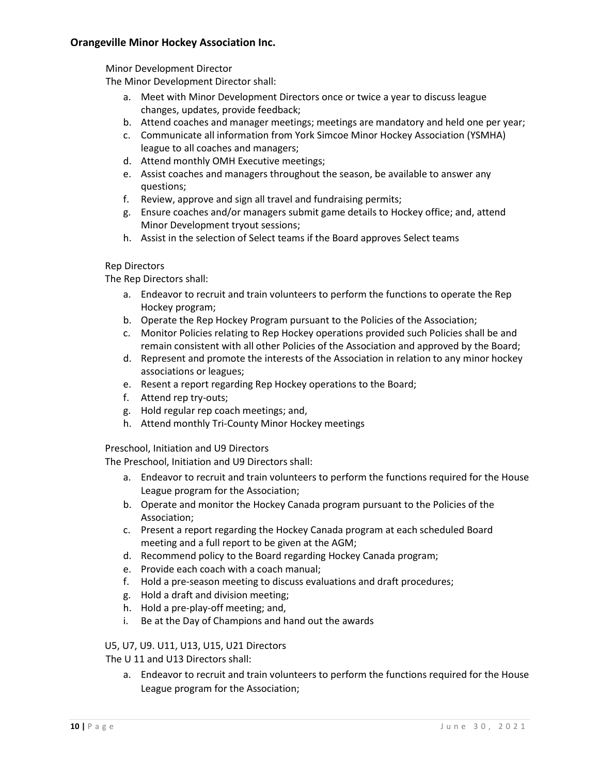Minor Development Director

The Minor Development Director shall:

- a. Meet with Minor Development Directors once or twice a year to discuss league changes, updates, provide feedback;
- b. Attend coaches and manager meetings; meetings are mandatory and held one per year;
- c. Communicate all information from York Simcoe Minor Hockey Association (YSMHA) league to all coaches and managers;
- d. Attend monthly OMH Executive meetings;
- e. Assist coaches and managers throughout the season, be available to answer any questions;
- f. Review, approve and sign all travel and fundraising permits;
- g. Ensure coaches and/or managers submit game details to Hockey office; and, attend Minor Development tryout sessions;
- h. Assist in the selection of Select teams if the Board approves Select teams

#### Rep Directors

The Rep Directors shall:

- a. Endeavor to recruit and train volunteers to perform the functions to operate the Rep Hockey program;
- b. Operate the Rep Hockey Program pursuant to the Policies of the Association;
- c. Monitor Policies relating to Rep Hockey operations provided such Policies shall be and remain consistent with all other Policies of the Association and approved by the Board;
- d. Represent and promote the interests of the Association in relation to any minor hockey associations or leagues;
- e. Resent a report regarding Rep Hockey operations to the Board;
- f. Attend rep try-outs;
- g. Hold regular rep coach meetings; and,
- h. Attend monthly Tri-County Minor Hockey meetings

Preschool, Initiation and U9 Directors

The Preschool, Initiation and U9 Directors shall:

- a. Endeavor to recruit and train volunteers to perform the functions required for the House League program for the Association;
- b. Operate and monitor the Hockey Canada program pursuant to the Policies of the Association;
- c. Present a report regarding the Hockey Canada program at each scheduled Board meeting and a full report to be given at the AGM;
- d. Recommend policy to the Board regarding Hockey Canada program;
- e. Provide each coach with a coach manual;
- f. Hold a pre-season meeting to discuss evaluations and draft procedures;
- g. Hold a draft and division meeting;
- h. Hold a pre-play-off meeting; and,
- i. Be at the Day of Champions and hand out the awards

# U5, U7, U9. U11, U13, U15, U21 Directors

The U 11 and U13 Directors shall:

a. Endeavor to recruit and train volunteers to perform the functions required for the House League program for the Association;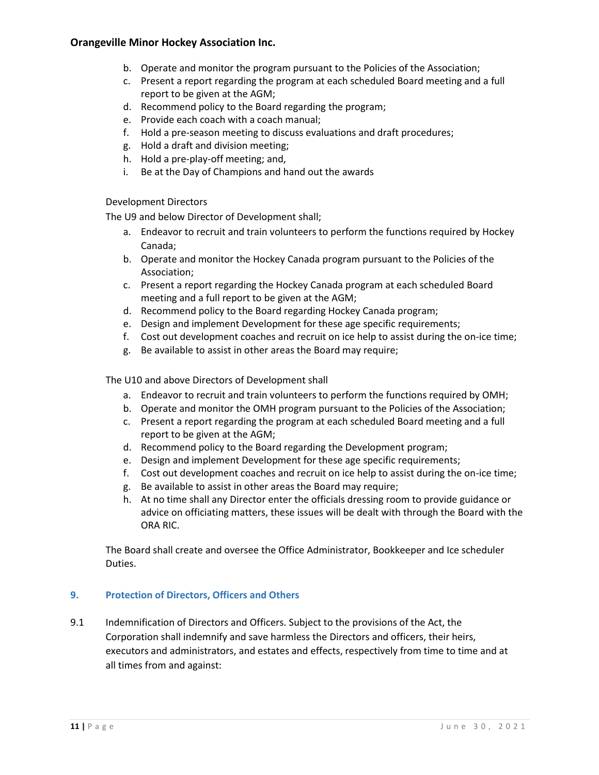- b. Operate and monitor the program pursuant to the Policies of the Association;
- c. Present a report regarding the program at each scheduled Board meeting and a full report to be given at the AGM;
- d. Recommend policy to the Board regarding the program;
- e. Provide each coach with a coach manual;
- f. Hold a pre-season meeting to discuss evaluations and draft procedures;
- g. Hold a draft and division meeting;
- h. Hold a pre-play-off meeting; and,
- i. Be at the Day of Champions and hand out the awards

# Development Directors

The U9 and below Director of Development shall;

- a. Endeavor to recruit and train volunteers to perform the functions required by Hockey Canada;
- b. Operate and monitor the Hockey Canada program pursuant to the Policies of the Association;
- c. Present a report regarding the Hockey Canada program at each scheduled Board meeting and a full report to be given at the AGM;
- d. Recommend policy to the Board regarding Hockey Canada program;
- e. Design and implement Development for these age specific requirements;
- f. Cost out development coaches and recruit on ice help to assist during the on-ice time;
- g. Be available to assist in other areas the Board may require;

The U10 and above Directors of Development shall

- a. Endeavor to recruit and train volunteers to perform the functions required by OMH;
- b. Operate and monitor the OMH program pursuant to the Policies of the Association;
- c. Present a report regarding the program at each scheduled Board meeting and a full report to be given at the AGM;
- d. Recommend policy to the Board regarding the Development program;
- e. Design and implement Development for these age specific requirements;
- f. Cost out development coaches and recruit on ice help to assist during the on-ice time;
- g. Be available to assist in other areas the Board may require;
- h. At no time shall any Director enter the officials dressing room to provide guidance or advice on officiating matters, these issues will be dealt with through the Board with the ORA RIC.

The Board shall create and oversee the Office Administrator, Bookkeeper and Ice scheduler Duties.

# **9. Protection of Directors, Officers and Others**

9.1 Indemnification of Directors and Officers. Subject to the provisions of the Act, the Corporation shall indemnify and save harmless the Directors and officers, their heirs, executors and administrators, and estates and effects, respectively from time to time and at all times from and against: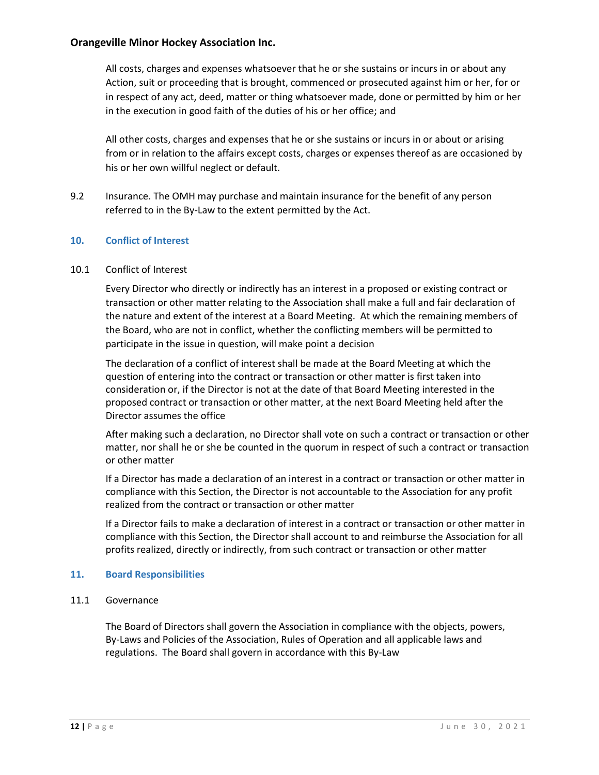All costs, charges and expenses whatsoever that he or she sustains or incurs in or about any Action, suit or proceeding that is brought, commenced or prosecuted against him or her, for or in respect of any act, deed, matter or thing whatsoever made, done or permitted by him or her in the execution in good faith of the duties of his or her office; and

All other costs, charges and expenses that he or she sustains or incurs in or about or arising from or in relation to the affairs except costs, charges or expenses thereof as are occasioned by his or her own willful neglect or default.

9.2 Insurance. The OMH may purchase and maintain insurance for the benefit of any person referred to in the By-Law to the extent permitted by the Act.

# **10. Conflict of Interest**

#### 10.1 Conflict of Interest

Every Director who directly or indirectly has an interest in a proposed or existing contract or transaction or other matter relating to the Association shall make a full and fair declaration of the nature and extent of the interest at a Board Meeting. At which the remaining members of the Board, who are not in conflict, whether the conflicting members will be permitted to participate in the issue in question, will make point a decision

The declaration of a conflict of interest shall be made at the Board Meeting at which the question of entering into the contract or transaction or other matter is first taken into consideration or, if the Director is not at the date of that Board Meeting interested in the proposed contract or transaction or other matter, at the next Board Meeting held after the Director assumes the office

After making such a declaration, no Director shall vote on such a contract or transaction or other matter, nor shall he or she be counted in the quorum in respect of such a contract or transaction or other matter

If a Director has made a declaration of an interest in a contract or transaction or other matter in compliance with this Section, the Director is not accountable to the Association for any profit realized from the contract or transaction or other matter

If a Director fails to make a declaration of interest in a contract or transaction or other matter in compliance with this Section, the Director shall account to and reimburse the Association for all profits realized, directly or indirectly, from such contract or transaction or other matter

#### **11. Board Responsibilities**

#### 11.1 Governance

The Board of Directors shall govern the Association in compliance with the objects, powers, By-Laws and Policies of the Association, Rules of Operation and all applicable laws and regulations. The Board shall govern in accordance with this By-Law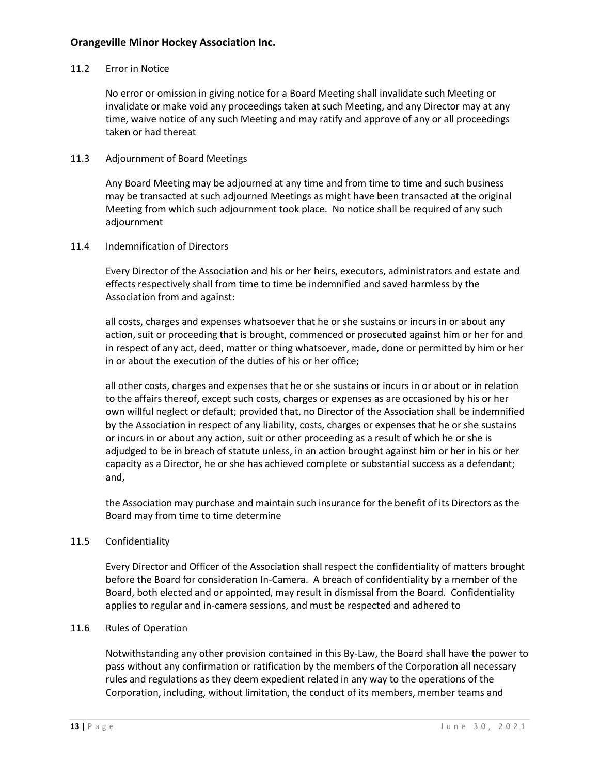#### 11.2 Error in Notice

No error or omission in giving notice for a Board Meeting shall invalidate such Meeting or invalidate or make void any proceedings taken at such Meeting, and any Director may at any time, waive notice of any such Meeting and may ratify and approve of any or all proceedings taken or had thereat

#### 11.3 Adjournment of Board Meetings

Any Board Meeting may be adjourned at any time and from time to time and such business may be transacted at such adjourned Meetings as might have been transacted at the original Meeting from which such adjournment took place. No notice shall be required of any such adjournment

#### 11.4 Indemnification of Directors

Every Director of the Association and his or her heirs, executors, administrators and estate and effects respectively shall from time to time be indemnified and saved harmless by the Association from and against:

all costs, charges and expenses whatsoever that he or she sustains or incurs in or about any action, suit or proceeding that is brought, commenced or prosecuted against him or her for and in respect of any act, deed, matter or thing whatsoever, made, done or permitted by him or her in or about the execution of the duties of his or her office;

all other costs, charges and expenses that he or she sustains or incurs in or about or in relation to the affairs thereof, except such costs, charges or expenses as are occasioned by his or her own willful neglect or default; provided that, no Director of the Association shall be indemnified by the Association in respect of any liability, costs, charges or expenses that he or she sustains or incurs in or about any action, suit or other proceeding as a result of which he or she is adjudged to be in breach of statute unless, in an action brought against him or her in his or her capacity as a Director, he or she has achieved complete or substantial success as a defendant; and,

the Association may purchase and maintain such insurance for the benefit of its Directors as the Board may from time to time determine

# 11.5 Confidentiality

Every Director and Officer of the Association shall respect the confidentiality of matters brought before the Board for consideration In-Camera. A breach of confidentiality by a member of the Board, both elected and or appointed, may result in dismissal from the Board. Confidentiality applies to regular and in-camera sessions, and must be respected and adhered to

#### 11.6 Rules of Operation

Notwithstanding any other provision contained in this By-Law, the Board shall have the power to pass without any confirmation or ratification by the members of the Corporation all necessary rules and regulations as they deem expedient related in any way to the operations of the Corporation, including, without limitation, the conduct of its members, member teams and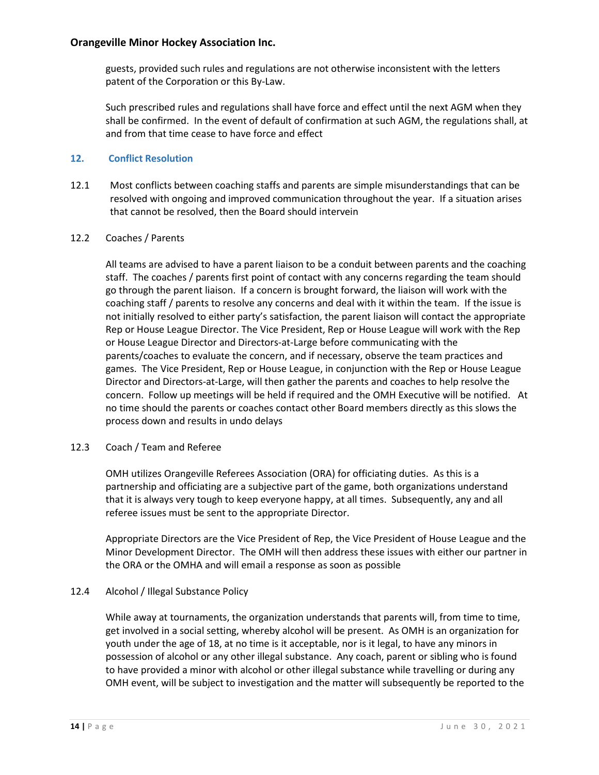guests, provided such rules and regulations are not otherwise inconsistent with the letters patent of the Corporation or this By-Law.

Such prescribed rules and regulations shall have force and effect until the next AGM when they shall be confirmed. In the event of default of confirmation at such AGM, the regulations shall, at and from that time cease to have force and effect

# **12. Conflict Resolution**

12.1 Most conflicts between coaching staffs and parents are simple misunderstandings that can be resolved with ongoing and improved communication throughout the year. If a situation arises that cannot be resolved, then the Board should intervein

# 12.2 Coaches / Parents

All teams are advised to have a parent liaison to be a conduit between parents and the coaching staff. The coaches / parents first point of contact with any concerns regarding the team should go through the parent liaison. If a concern is brought forward, the liaison will work with the coaching staff / parents to resolve any concerns and deal with it within the team. If the issue is not initially resolved to either party's satisfaction, the parent liaison will contact the appropriate Rep or House League Director. The Vice President, Rep or House League will work with the Rep or House League Director and Directors-at-Large before communicating with the parents/coaches to evaluate the concern, and if necessary, observe the team practices and games. The Vice President, Rep or House League, in conjunction with the Rep or House League Director and Directors-at-Large, will then gather the parents and coaches to help resolve the concern. Follow up meetings will be held if required and the OMH Executive will be notified. At no time should the parents or coaches contact other Board members directly as this slows the process down and results in undo delays

# 12.3 Coach / Team and Referee

OMH utilizes Orangeville Referees Association (ORA) for officiating duties. As this is a partnership and officiating are a subjective part of the game, both organizations understand that it is always very tough to keep everyone happy, at all times. Subsequently, any and all referee issues must be sent to the appropriate Director.

Appropriate Directors are the Vice President of Rep, the Vice President of House League and the Minor Development Director. The OMH will then address these issues with either our partner in the ORA or the OMHA and will email a response as soon as possible

# 12.4 Alcohol / Illegal Substance Policy

While away at tournaments, the organization understands that parents will, from time to time, get involved in a social setting, whereby alcohol will be present. As OMH is an organization for youth under the age of 18, at no time is it acceptable, nor is it legal, to have any minors in possession of alcohol or any other illegal substance. Any coach, parent or sibling who is found to have provided a minor with alcohol or other illegal substance while travelling or during any OMH event, will be subject to investigation and the matter will subsequently be reported to the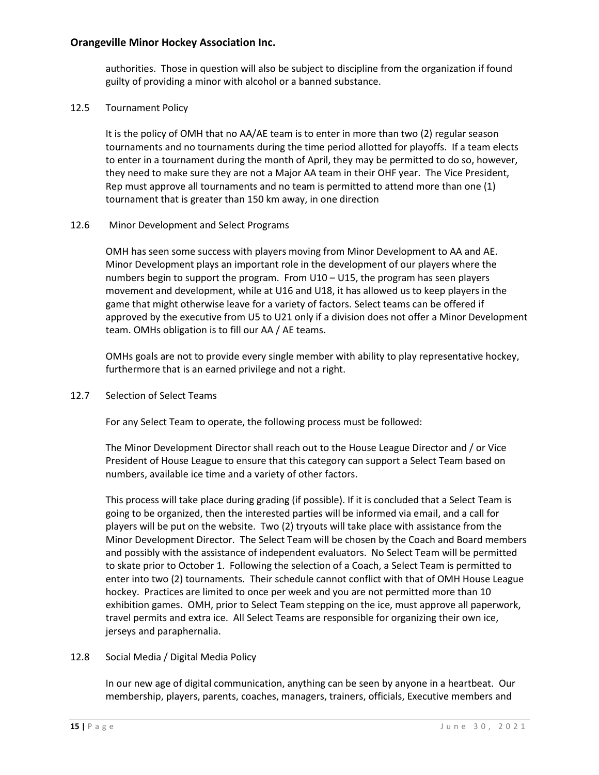authorities. Those in question will also be subject to discipline from the organization if found guilty of providing a minor with alcohol or a banned substance.

12.5 Tournament Policy

It is the policy of OMH that no AA/AE team is to enter in more than two (2) regular season tournaments and no tournaments during the time period allotted for playoffs. If a team elects to enter in a tournament during the month of April, they may be permitted to do so, however, they need to make sure they are not a Major AA team in their OHF year. The Vice President, Rep must approve all tournaments and no team is permitted to attend more than one (1) tournament that is greater than 150 km away, in one direction

#### 12.6 Minor Development and Select Programs

OMH has seen some success with players moving from Minor Development to AA and AE. Minor Development plays an important role in the development of our players where the numbers begin to support the program. From U10 – U15, the program has seen players movement and development, while at U16 and U18, it has allowed us to keep players in the game that might otherwise leave for a variety of factors. Select teams can be offered if approved by the executive from U5 to U21 only if a division does not offer a Minor Development team. OMHs obligation is to fill our AA / AE teams.

OMHs goals are not to provide every single member with ability to play representative hockey, furthermore that is an earned privilege and not a right.

12.7 Selection of Select Teams

For any Select Team to operate, the following process must be followed:

The Minor Development Director shall reach out to the House League Director and / or Vice President of House League to ensure that this category can support a Select Team based on numbers, available ice time and a variety of other factors.

This process will take place during grading (if possible). If it is concluded that a Select Team is going to be organized, then the interested parties will be informed via email, and a call for players will be put on the website. Two (2) tryouts will take place with assistance from the Minor Development Director. The Select Team will be chosen by the Coach and Board members and possibly with the assistance of independent evaluators. No Select Team will be permitted to skate prior to October 1. Following the selection of a Coach, a Select Team is permitted to enter into two (2) tournaments. Their schedule cannot conflict with that of OMH House League hockey. Practices are limited to once per week and you are not permitted more than 10 exhibition games. OMH, prior to Select Team stepping on the ice, must approve all paperwork, travel permits and extra ice. All Select Teams are responsible for organizing their own ice, jerseys and paraphernalia.

# 12.8 Social Media / Digital Media Policy

In our new age of digital communication, anything can be seen by anyone in a heartbeat. Our membership, players, parents, coaches, managers, trainers, officials, Executive members and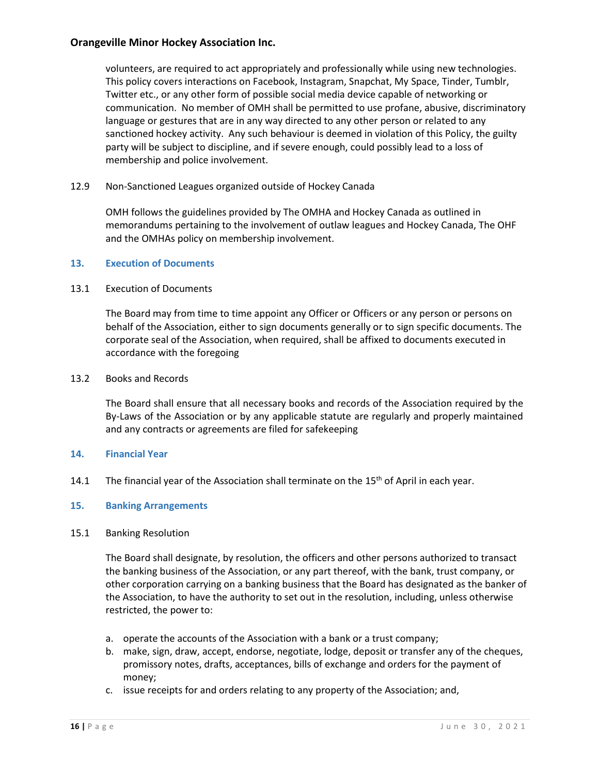volunteers, are required to act appropriately and professionally while using new technologies. This policy covers interactions on Facebook, Instagram, Snapchat, My Space, Tinder, Tumblr, Twitter etc., or any other form of possible social media device capable of networking or communication. No member of OMH shall be permitted to use profane, abusive, discriminatory language or gestures that are in any way directed to any other person or related to any sanctioned hockey activity. Any such behaviour is deemed in violation of this Policy, the guilty party will be subject to discipline, and if severe enough, could possibly lead to a loss of membership and police involvement.

12.9 Non-Sanctioned Leagues organized outside of Hockey Canada

OMH follows the guidelines provided by The OMHA and Hockey Canada as outlined in memorandums pertaining to the involvement of outlaw leagues and Hockey Canada, The OHF and the OMHAs policy on membership involvement.

#### **13. Execution of Documents**

#### 13.1 Execution of Documents

The Board may from time to time appoint any Officer or Officers or any person or persons on behalf of the Association, either to sign documents generally or to sign specific documents. The corporate seal of the Association, when required, shall be affixed to documents executed in accordance with the foregoing

#### 13.2 Books and Records

The Board shall ensure that all necessary books and records of the Association required by the By-Laws of the Association or by any applicable statute are regularly and properly maintained and any contracts or agreements are filed for safekeeping

#### **14. Financial Year**

14.1 The financial year of the Association shall terminate on the  $15<sup>th</sup>$  of April in each year.

# **15. Banking Arrangements**

#### 15.1 Banking Resolution

The Board shall designate, by resolution, the officers and other persons authorized to transact the banking business of the Association, or any part thereof, with the bank, trust company, or other corporation carrying on a banking business that the Board has designated as the banker of the Association, to have the authority to set out in the resolution, including, unless otherwise restricted, the power to:

- a. operate the accounts of the Association with a bank or a trust company;
- b. make, sign, draw, accept, endorse, negotiate, lodge, deposit or transfer any of the cheques, promissory notes, drafts, acceptances, bills of exchange and orders for the payment of money;
- c. issue receipts for and orders relating to any property of the Association; and,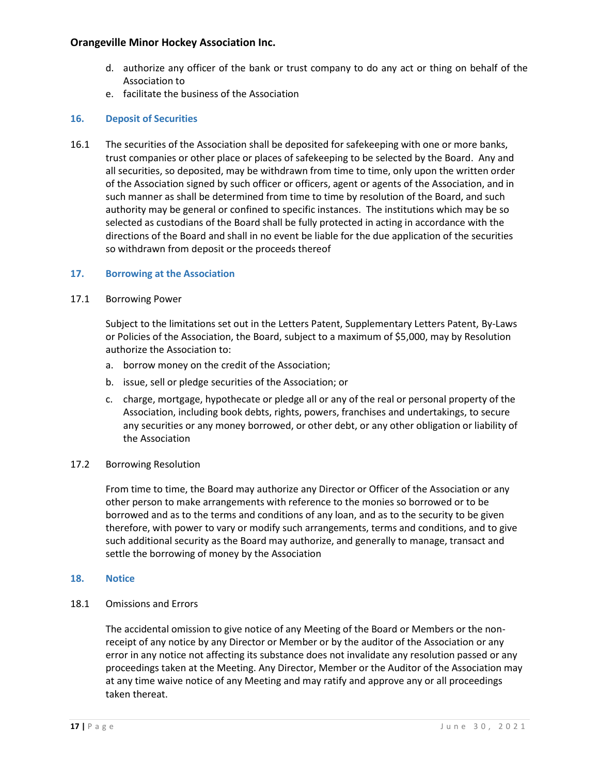- d. authorize any officer of the bank or trust company to do any act or thing on behalf of the Association to
- e. facilitate the business of the Association

# **16. Deposit of Securities**

16.1 The securities of the Association shall be deposited for safekeeping with one or more banks, trust companies or other place or places of safekeeping to be selected by the Board. Any and all securities, so deposited, may be withdrawn from time to time, only upon the written order of the Association signed by such officer or officers, agent or agents of the Association, and in such manner as shall be determined from time to time by resolution of the Board, and such authority may be general or confined to specific instances. The institutions which may be so selected as custodians of the Board shall be fully protected in acting in accordance with the directions of the Board and shall in no event be liable for the due application of the securities so withdrawn from deposit or the proceeds thereof

# **17. Borrowing at the Association**

# 17.1 Borrowing Power

Subject to the limitations set out in the Letters Patent, Supplementary Letters Patent, By-Laws or Policies of the Association, the Board, subject to a maximum of \$5,000, may by Resolution authorize the Association to:

- a. borrow money on the credit of the Association;
- b. issue, sell or pledge securities of the Association; or
- c. charge, mortgage, hypothecate or pledge all or any of the real or personal property of the Association, including book debts, rights, powers, franchises and undertakings, to secure any securities or any money borrowed, or other debt, or any other obligation or liability of the Association

# 17.2 Borrowing Resolution

From time to time, the Board may authorize any Director or Officer of the Association or any other person to make arrangements with reference to the monies so borrowed or to be borrowed and as to the terms and conditions of any loan, and as to the security to be given therefore, with power to vary or modify such arrangements, terms and conditions, and to give such additional security as the Board may authorize, and generally to manage, transact and settle the borrowing of money by the Association

#### **18. Notice**

18.1 Omissions and Errors

The accidental omission to give notice of any Meeting of the Board or Members or the nonreceipt of any notice by any Director or Member or by the auditor of the Association or any error in any notice not affecting its substance does not invalidate any resolution passed or any proceedings taken at the Meeting. Any Director, Member or the Auditor of the Association may at any time waive notice of any Meeting and may ratify and approve any or all proceedings taken thereat.